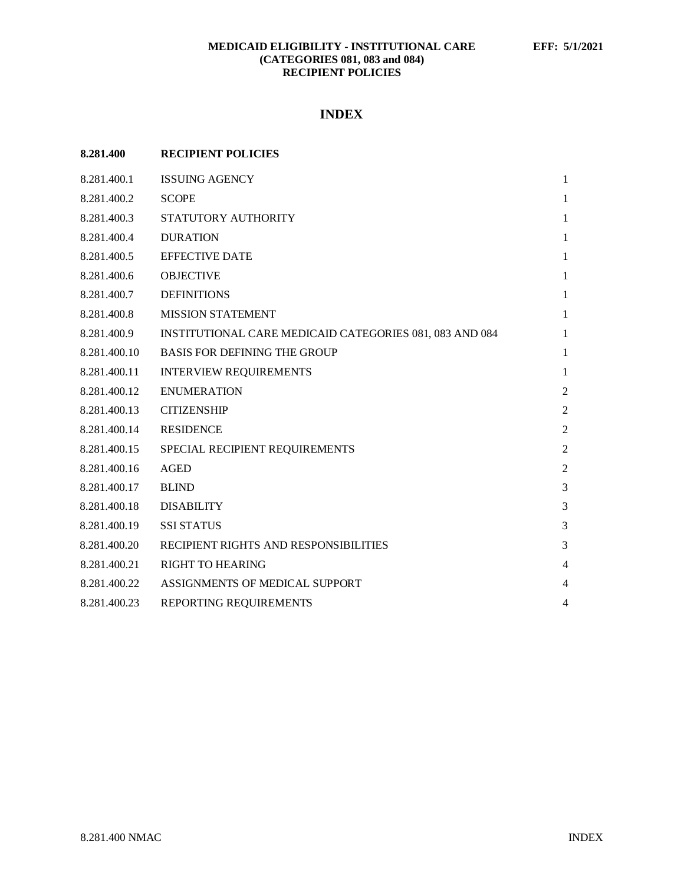# **INDEX**

| 8.281.400    | <b>RECIPIENT POLICIES</b>                               |                |
|--------------|---------------------------------------------------------|----------------|
| 8.281.400.1  | <b>ISSUING AGENCY</b>                                   | 1              |
| 8.281.400.2  | <b>SCOPE</b>                                            | $\mathbf{1}$   |
| 8.281.400.3  | STATUTORY AUTHORITY                                     | 1              |
| 8.281.400.4  | <b>DURATION</b>                                         | 1              |
| 8.281.400.5  | <b>EFFECTIVE DATE</b>                                   | 1              |
| 8.281.400.6  | <b>OBJECTIVE</b>                                        | 1              |
| 8.281.400.7  | <b>DEFINITIONS</b>                                      | $\mathbf{1}$   |
| 8.281.400.8  | <b>MISSION STATEMENT</b>                                | $\mathbf{1}$   |
| 8.281.400.9  | INSTITUTIONAL CARE MEDICAID CATEGORIES 081, 083 AND 084 | $\mathbf{1}$   |
| 8.281.400.10 | <b>BASIS FOR DEFINING THE GROUP</b>                     | $\mathbf{1}$   |
| 8.281.400.11 | <b>INTERVIEW REQUIREMENTS</b>                           | $\mathbf{1}$   |
| 8.281.400.12 | <b>ENUMERATION</b>                                      | $\overline{c}$ |
| 8.281.400.13 | <b>CITIZENSHIP</b>                                      | $\overline{c}$ |
| 8.281.400.14 | <b>RESIDENCE</b>                                        | $\overline{2}$ |
| 8.281.400.15 | SPECIAL RECIPIENT REQUIREMENTS                          | $\overline{2}$ |
| 8.281.400.16 | <b>AGED</b>                                             | $\overline{2}$ |
| 8.281.400.17 | <b>BLIND</b>                                            | 3              |
| 8.281.400.18 | <b>DISABILITY</b>                                       | 3              |
| 8.281.400.19 | <b>SSI STATUS</b>                                       | 3              |
| 8.281.400.20 | RECIPIENT RIGHTS AND RESPONSIBILITIES                   | 3              |
| 8.281.400.21 | <b>RIGHT TO HEARING</b>                                 | $\overline{4}$ |
| 8.281.400.22 | ASSIGNMENTS OF MEDICAL SUPPORT                          | $\overline{4}$ |
| 8.281.400.23 | REPORTING REQUIREMENTS                                  | $\overline{4}$ |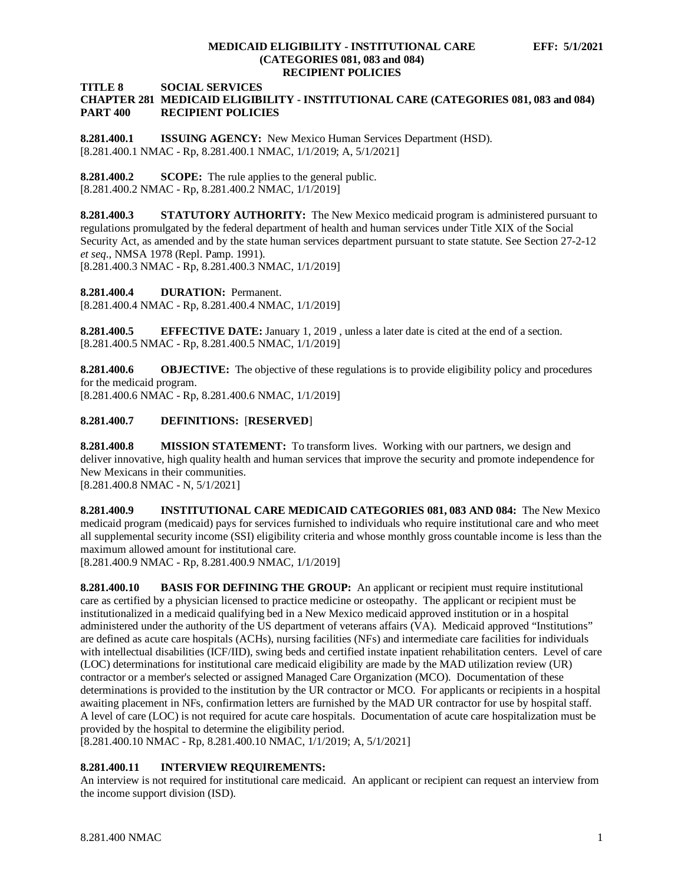**TITLE 8 SOCIAL SERVICES**

## **CHAPTER 281 MEDICAID ELIGIBILITY - INSTITUTIONAL CARE (CATEGORIES 081, 083 and 084) RECIPIENT POLICIES**

<span id="page-1-0"></span>**8.281.400.1 ISSUING AGENCY:** New Mexico Human Services Department (HSD). [8.281.400.1 NMAC - Rp, 8.281.400.1 NMAC, 1/1/2019; A, 5/1/2021]

<span id="page-1-1"></span>**8.281.400.2 SCOPE:** The rule applies to the general public. [8.281.400.2 NMAC - Rp, 8.281.400.2 NMAC, 1/1/2019]

<span id="page-1-2"></span>**8.281.400.3 STATUTORY AUTHORITY:** The New Mexico medicaid program is administered pursuant to regulations promulgated by the federal department of health and human services under Title XIX of the Social Security Act, as amended and by the state human services department pursuant to state statute. See Section 27-2-12 *et seq*., NMSA 1978 (Repl. Pamp. 1991).

[8.281.400.3 NMAC - Rp, 8.281.400.3 NMAC, 1/1/2019]

<span id="page-1-3"></span>**8.281.400.4 DURATION:** Permanent. [8.281.400.4 NMAC - Rp, 8.281.400.4 NMAC, 1/1/2019]

<span id="page-1-4"></span>**8.281.400.5 EFFECTIVE DATE:** January 1, 2019 , unless a later date is cited at the end of a section. [8.281.400.5 NMAC - Rp, 8.281.400.5 NMAC, 1/1/2019]

<span id="page-1-5"></span>**8.281.400.6 OBJECTIVE:** The objective of these regulations is to provide eligibility policy and procedures for the medicaid program.

[8.281.400.6 NMAC - Rp, 8.281.400.6 NMAC, 1/1/2019]

# <span id="page-1-6"></span>**8.281.400.7 DEFINITIONS:** [**RESERVED**]

<span id="page-1-7"></span>**8.281.400.8 MISSION STATEMENT:** To transform lives. Working with our partners, we design and deliver innovative, high quality health and human services that improve the security and promote independence for New Mexicans in their communities.

[8.281.400.8 NMAC - N, 5/1/2021]

<span id="page-1-8"></span>**8.281.400.9 INSTITUTIONAL CARE MEDICAID CATEGORIES 081, 083 AND 084:** The New Mexico medicaid program (medicaid) pays for services furnished to individuals who require institutional care and who meet all supplemental security income (SSI) eligibility criteria and whose monthly gross countable income is less than the maximum allowed amount for institutional care.

[8.281.400.9 NMAC - Rp, 8.281.400.9 NMAC, 1/1/2019]

<span id="page-1-9"></span>**8.281.400.10 BASIS FOR DEFINING THE GROUP:** An applicant or recipient must require institutional care as certified by a physician licensed to practice medicine or osteopathy. The applicant or recipient must be institutionalized in a medicaid qualifying bed in a New Mexico medicaid approved institution or in a hospital administered under the authority of the US department of veterans affairs (VA). Medicaid approved "Institutions" are defined as acute care hospitals (ACHs), nursing facilities (NFs) and intermediate care facilities for individuals with intellectual disabilities (ICF/IID), swing beds and certified instate inpatient rehabilitation centers. Level of care (LOC) determinations for institutional care medicaid eligibility are made by the MAD utilization review (UR) contractor or a member's selected or assigned Managed Care Organization (MCO). Documentation of these determinations is provided to the institution by the UR contractor or MCO. For applicants or recipients in a hospital awaiting placement in NFs, confirmation letters are furnished by the MAD UR contractor for use by hospital staff. A level of care (LOC) is not required for acute care hospitals. Documentation of acute care hospitalization must be provided by the hospital to determine the eligibility period.

[8.281.400.10 NMAC - Rp, 8.281.400.10 NMAC, 1/1/2019; A, 5/1/2021]

# <span id="page-1-10"></span>**8.281.400.11 INTERVIEW REQUIREMENTS:**

An interview is not required for institutional care medicaid. An applicant or recipient can request an interview from the income support division (ISD).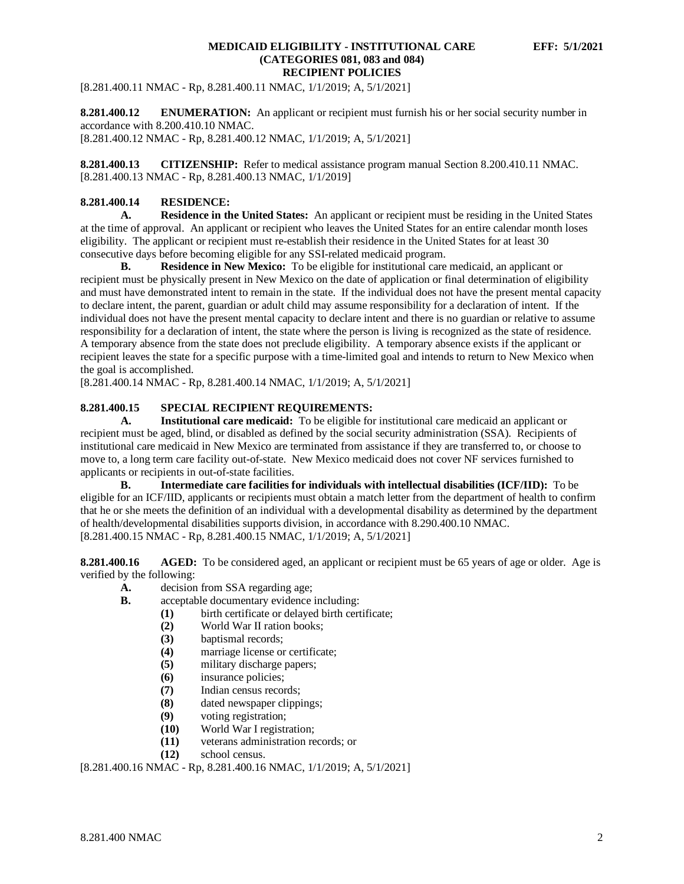[8.281.400.11 NMAC - Rp, 8.281.400.11 NMAC, 1/1/2019; A, 5/1/2021]

<span id="page-2-0"></span>**8.281.400.12 ENUMERATION:** An applicant or recipient must furnish his or her social security number in accordance with 8.200.410.10 NMAC.

[8.281.400.12 NMAC - Rp, 8.281.400.12 NMAC, 1/1/2019; A, 5/1/2021]

<span id="page-2-1"></span>**8.281.400.13 CITIZENSHIP:** Refer to medical assistance program manual Section 8.200.410.11 NMAC. [8.281.400.13 NMAC - Rp, 8.281.400.13 NMAC, 1/1/2019]

# <span id="page-2-2"></span>**8.281.400.14 RESIDENCE:**

**A. Residence in the United States:** An applicant or recipient must be residing in the United States at the time of approval. An applicant or recipient who leaves the United States for an entire calendar month loses eligibility. The applicant or recipient must re-establish their residence in the United States for at least 30 consecutive days before becoming eligible for any SSI-related medicaid program.

**B. Residence in New Mexico:** To be eligible for institutional care medicaid, an applicant or recipient must be physically present in New Mexico on the date of application or final determination of eligibility and must have demonstrated intent to remain in the state. If the individual does not have the present mental capacity to declare intent, the parent, guardian or adult child may assume responsibility for a declaration of intent. If the individual does not have the present mental capacity to declare intent and there is no guardian or relative to assume responsibility for a declaration of intent, the state where the person is living is recognized as the state of residence. A temporary absence from the state does not preclude eligibility. A temporary absence exists if the applicant or recipient leaves the state for a specific purpose with a time-limited goal and intends to return to New Mexico when the goal is accomplished.

[8.281.400.14 NMAC - Rp, 8.281.400.14 NMAC, 1/1/2019; A, 5/1/2021]

# <span id="page-2-3"></span>**8.281.400.15 SPECIAL RECIPIENT REQUIREMENTS:**

**A. Institutional care medicaid:** To be eligible for institutional care medicaid an applicant or recipient must be aged, blind, or disabled as defined by the social security administration (SSA). Recipients of institutional care medicaid in New Mexico are terminated from assistance if they are transferred to, or choose to move to, a long term care facility out-of-state. New Mexico medicaid does not cover NF services furnished to applicants or recipients in out-of-state facilities.

**B. Intermediate care facilities for individuals with intellectual disabilities (ICF/IID):** To be eligible for an ICF/IID, applicants or recipients must obtain a match letter from the department of health to confirm that he or she meets the definition of an individual with a developmental disability as determined by the department of health/developmental disabilities supports division, in accordance with 8.290.400.10 NMAC. [8.281.400.15 NMAC - Rp, 8.281.400.15 NMAC, 1/1/2019; A, 5/1/2021]

<span id="page-2-4"></span>**8.281.400.16 AGED:** To be considered aged, an applicant or recipient must be 65 years of age or older. Age is verified by the following:

- **A.** decision from SSA regarding age;
- **B.** acceptable documentary evidence including:
	- (1) birth certificate or delayed birth certificate;<br>(2) World War II ration books;
	- **(2)** World War II ration books;
	- **(3)** baptismal records;
	- (4) marriage license or certificate;<br>(5) military discharge papers;
	- military discharge papers;
	- **(6)** insurance policies;
	- **(7)** Indian census records;
	- **(8)** dated newspaper clippings;
	- **(9)** voting registration;
	- **(10)** World War I registration;
	- **(11)** veterans administration records; or
	- **(12)** school census.

[8.281.400.16 NMAC - Rp, 8.281.400.16 NMAC, 1/1/2019; A, 5/1/2021]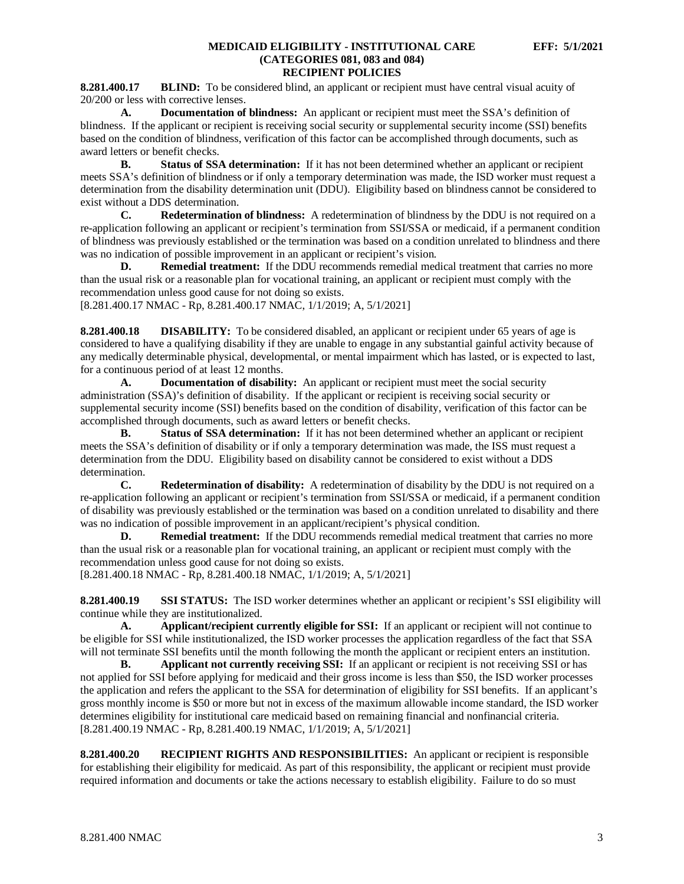<span id="page-3-0"></span>**8.281.400.17 BLIND:** To be considered blind, an applicant or recipient must have central visual acuity of 20/200 or less with corrective lenses.

**A. Documentation of blindness:** An applicant or recipient must meet the SSA's definition of blindness. If the applicant or recipient is receiving social security or supplemental security income (SSI) benefits based on the condition of blindness, verification of this factor can be accomplished through documents, such as award letters or benefit checks.

**B. Status of SSA determination:** If it has not been determined whether an applicant or recipient meets SSA's definition of blindness or if only a temporary determination was made, the ISD worker must request a determination from the disability determination unit (DDU). Eligibility based on blindness cannot be considered to exist without a DDS determination.

**C. Redetermination of blindness:** A redetermination of blindness by the DDU is not required on a re-application following an applicant or recipient's termination from SSI/SSA or medicaid, if a permanent condition of blindness was previously established or the termination was based on a condition unrelated to blindness and there was no indication of possible improvement in an applicant or recipient's vision.

**D. Remedial treatment:** If the DDU recommends remedial medical treatment that carries no more than the usual risk or a reasonable plan for vocational training, an applicant or recipient must comply with the recommendation unless good cause for not doing so exists. [8.281.400.17 NMAC - Rp, 8.281.400.17 NMAC, 1/1/2019; A, 5/1/2021]

<span id="page-3-1"></span>**8.281.400.18 DISABILITY:** To be considered disabled, an applicant or recipient under 65 years of age is considered to have a qualifying disability if they are unable to engage in any substantial gainful activity because of any medically determinable physical, developmental, or mental impairment which has lasted, or is expected to last, for a continuous period of at least 12 months.

**A. Documentation of disability:** An applicant or recipient must meet the social security administration (SSA)'s definition of disability. If the applicant or recipient is receiving social security or supplemental security income (SSI) benefits based on the condition of disability, verification of this factor can be accomplished through documents, such as award letters or benefit checks.

**B. Status of SSA determination:** If it has not been determined whether an applicant or recipient meets the SSA's definition of disability or if only a temporary determination was made, the ISS must request a determination from the DDU. Eligibility based on disability cannot be considered to exist without a DDS determination.

**C. Redetermination of disability:** A redetermination of disability by the DDU is not required on a re-application following an applicant or recipient's termination from SSI/SSA or medicaid, if a permanent condition of disability was previously established or the termination was based on a condition unrelated to disability and there was no indication of possible improvement in an applicant/recipient's physical condition.

**D. Remedial treatment:** If the DDU recommends remedial medical treatment that carries no more than the usual risk or a reasonable plan for vocational training, an applicant or recipient must comply with the recommendation unless good cause for not doing so exists.

[8.281.400.18 NMAC - Rp, 8.281.400.18 NMAC, 1/1/2019; A, 5/1/2021]

<span id="page-3-2"></span>**8.281.400.19 SSI STATUS:** The ISD worker determines whether an applicant or recipient's SSI eligibility will continue while they are institutionalized.

**A. Applicant/recipient currently eligible for SSI:** If an applicant or recipient will not continue to be eligible for SSI while institutionalized, the ISD worker processes the application regardless of the fact that SSA will not terminate SSI benefits until the month following the month the applicant or recipient enters an institution.

**B. Applicant not currently receiving SSI:** If an applicant or recipient is not receiving SSI or has not applied for SSI before applying for medicaid and their gross income is less than \$50, the ISD worker processes the application and refers the applicant to the SSA for determination of eligibility for SSI benefits. If an applicant's gross monthly income is \$50 or more but not in excess of the maximum allowable income standard, the ISD worker determines eligibility for institutional care medicaid based on remaining financial and nonfinancial criteria. [8.281.400.19 NMAC - Rp, 8.281.400.19 NMAC, 1/1/2019; A, 5/1/2021]

<span id="page-3-3"></span>**8.281.400.20 RECIPIENT RIGHTS AND RESPONSIBILITIES:** An applicant or recipient is responsible for establishing their eligibility for medicaid. As part of this responsibility, the applicant or recipient must provide required information and documents or take the actions necessary to establish eligibility. Failure to do so must